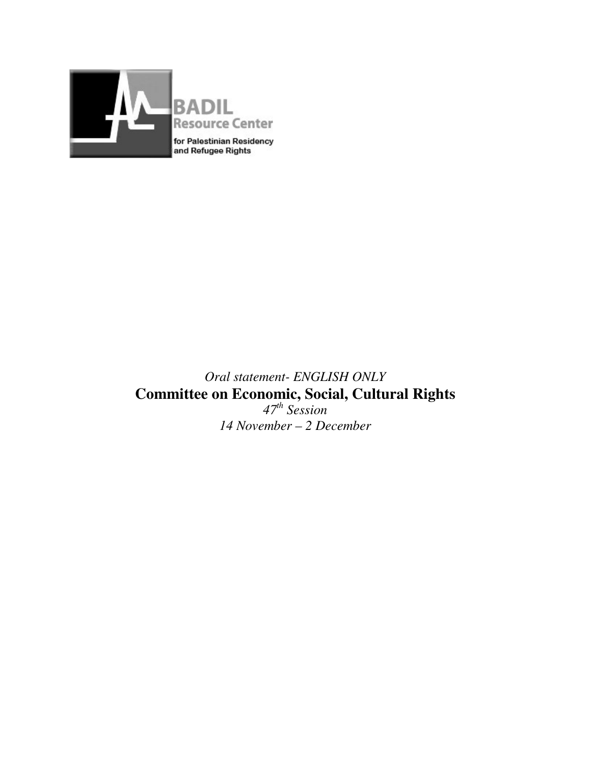

# *Oral statement- ENGLISH ONLY*  **Committee on Economic, Social, Cultural Rights**  *47th Session 14 November – 2 December*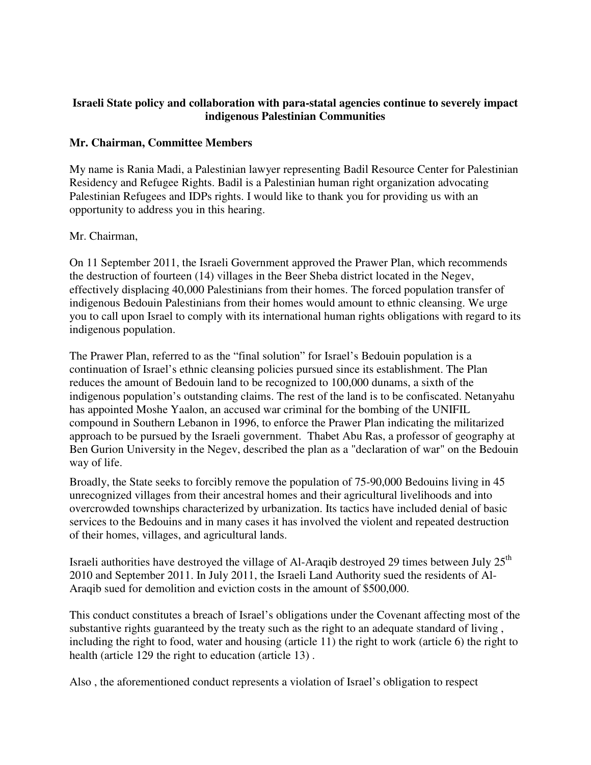#### **Israeli State policy and collaboration with para-statal agencies continue to severely impact indigenous Palestinian Communities**

#### **Mr. Chairman, Committee Members**

My name is Rania Madi, a Palestinian lawyer representing Badil Resource Center for Palestinian Residency and Refugee Rights. Badil is a Palestinian human right organization advocating Palestinian Refugees and IDPs rights. I would like to thank you for providing us with an opportunity to address you in this hearing.

#### Mr. Chairman,

On 11 September 2011, the Israeli Government approved the Prawer Plan, which recommends the destruction of fourteen (14) villages in the Beer Sheba district located in the Negev, effectively displacing 40,000 Palestinians from their homes. The forced population transfer of indigenous Bedouin Palestinians from their homes would amount to ethnic cleansing. We urge you to call upon Israel to comply with its international human rights obligations with regard to its indigenous population.

The Prawer Plan, referred to as the "final solution" for Israel's Bedouin population is a continuation of Israel's ethnic cleansing policies pursued since its establishment. The Plan reduces the amount of Bedouin land to be recognized to 100,000 dunams, a sixth of the indigenous population's outstanding claims. The rest of the land is to be confiscated. Netanyahu has appointed Moshe Yaalon, an accused war criminal for the bombing of the UNIFIL compound in Southern Lebanon in 1996, to enforce the Prawer Plan indicating the militarized approach to be pursued by the Israeli government. Thabet Abu Ras, a professor of geography at Ben Gurion University in the Negev, described the plan as a "declaration of war" on the Bedouin way of life.

Broadly, the State seeks to forcibly remove the population of 75-90,000 Bedouins living in 45 unrecognized villages from their ancestral homes and their agricultural livelihoods and into overcrowded townships characterized by urbanization. Its tactics have included denial of basic services to the Bedouins and in many cases it has involved the violent and repeated destruction of their homes, villages, and agricultural lands.

Israeli authorities have destroyed the village of Al-Araqib destroyed 29 times between July 25<sup>th</sup> 2010 and September 2011. In July 2011, the Israeli Land Authority sued the residents of Al-Araqib sued for demolition and eviction costs in the amount of \$500,000.

This conduct constitutes a breach of Israel's obligations under the Covenant affecting most of the substantive rights guaranteed by the treaty such as the right to an adequate standard of living , including the right to food, water and housing (article 11) the right to work (article 6) the right to health (article 129 the right to education (article 13) .

Also , the aforementioned conduct represents a violation of Israel's obligation to respect